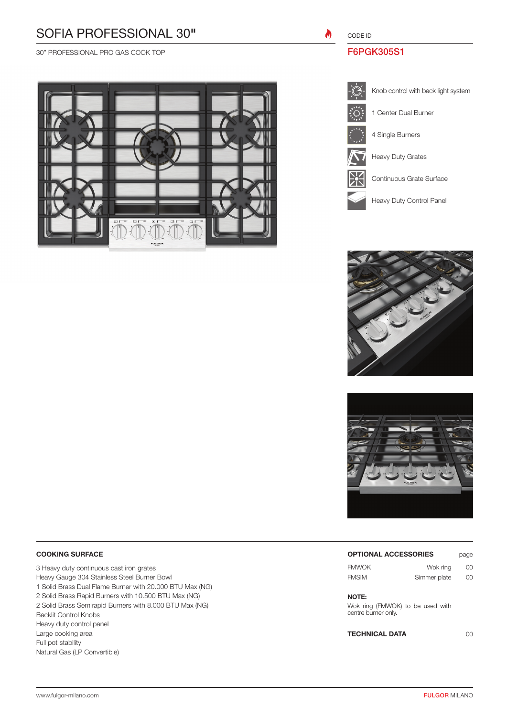# SOFIA PROFESSIONAL 30"

30" PROFESSIONAL PRO GAS COOK TOP



 $\boldsymbol{\theta}$ CODE ID

## F6PGK305S1







### COOKING SURFACE

3 Heavy duty continuous cast iron grates Heavy Gauge 304 Stainless Steel Burner Bowl 1 Solid Brass Dual Flame Burner with 20.000 BTU Max (NG) 2 Solid Brass Rapid Burners with 10.500 BTU Max (NG) 2 Solid Brass Semirapid Burners with 8.000 BTU Max (NG) Backlit Control Knobs Heavy duty control panel Large cooking area Full pot stability Natural Gas (LP Convertible)

#### OPTIONAL ACCESSORIES page

| <b>FMWOK</b> | Wok ring     | 00 |  |
|--------------|--------------|----|--|
| <b>FMSIM</b> | Simmer plate | 00 |  |

### NOTE:

Wok ring (FMWOK) to be used with centre burner only.

TECHNICAL DATA 00